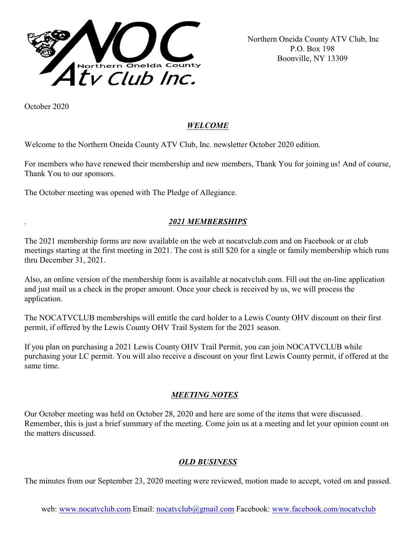

 Northern Oneida County ATV Club, Inc P.O. Box 198 Boonville, NY 13309

October 2020

# *WELCOME*

Welcome to the Northern Oneida County ATV Club, Inc. newsletter October 2020 edition.

For members who have renewed their membership and new members, Thank You for joining us! And of course, Thank You to our sponsors.

The October meeting was opened with The Pledge of Allegiance.

# . *2021 MEMBERSHIPS*

The 2021 membership forms are now available on the web at nocatvclub.com and on Facebook or at club meetings starting at the first meeting in 2021. The cost is still \$20 for a single or family membership which runs thru December 31, 2021.

Also, an online version of the membership form is available at nocatvclub.com. Fill out the on-line application and just mail us a check in the proper amount. Once your check is received by us, we will process the application.

The NOCATVCLUB memberships will entitle the card holder to a Lewis County OHV discount on their first permit, if offered by the Lewis County OHV Trail System for the 2021 season.

If you plan on purchasing a 2021 Lewis County OHV Trail Permit, you can join NOCATVCLUB while purchasing your LC permit. You will also receive a discount on your first Lewis County permit, if offered at the same time.

## *MEETING NOTES*

Our October meeting was held on October 28, 2020 and here are some of the items that were discussed. Remember, this is just a brief summary of the meeting. Come join us at a meeting and let your opinion count on the matters discussed.

## *OLD BUSINESS*

The minutes from our September 23, 2020 meeting were reviewed, motion made to accept, voted on and passed.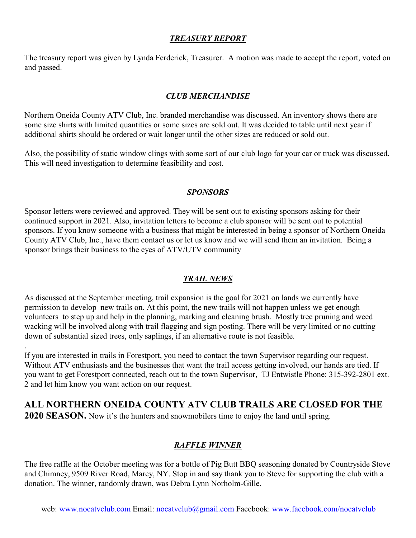#### *TREASURY REPORT*

The treasury report was given by Lynda Ferderick, Treasurer. A motion was made to accept the report, voted on and passed.

#### *CLUB MERCHANDISE*

Northern Oneida County ATV Club, Inc. branded merchandise was discussed. An inventory shows there are some size shirts with limited quantities or some sizes are sold out. It was decided to table until next year if additional shirts should be ordered or wait longer until the other sizes are reduced or sold out.

Also, the possibility of static window clings with some sort of our club logo for your car or truck was discussed. This will need investigation to determine feasibility and cost.

#### *SPONSORS*

Sponsor letters were reviewed and approved. They will be sent out to existing sponsors asking for their continued support in 2021. Also, invitation letters to become a club sponsor will be sent out to potential sponsors. If you know someone with a business that might be interested in being a sponsor of Northern Oneida County ATV Club, Inc., have them contact us or let us know and we will send them an invitation. Being a sponsor brings their business to the eyes of ATV/UTV community

#### *TRAIL NEWS*

As discussed at the September meeting, trail expansion is the goal for 2021 on lands we currently have permission to develop new trails on. At this point, the new trails will not happen unless we get enough volunteers to step up and help in the planning, marking and cleaning brush. Mostly tree pruning and weed wacking will be involved along with trail flagging and sign posting. There will be very limited or no cutting down of substantial sized trees, only saplings, if an alternative route is not feasible.

If you are interested in trails in Forestport, you need to contact the town Supervisor regarding our request. Without ATV enthusiasts and the businesses that want the trail access getting involved, our hands are tied. If you want to get Forestport connected, reach out to the town Supervisor, TJ Entwistle Phone: 315-392-2801 ext. 2 and let him know you want action on our request.

# **ALL NORTHERN ONEIDA COUNTY ATV CLUB TRAILS ARE CLOSED FOR THE**

**2020 SEASON.** Now it's the hunters and snowmobilers time to enjoy the land until spring.

.

## *RAFFLE WINNER*

The free raffle at the October meeting was for a bottle of Pig Butt BBQ seasoning donated by Countryside Stove and Chimney, 9509 River Road, Marcy, NY. Stop in and say thank you to Steve for supporting the club with a donation. The winner, randomly drawn, was Debra Lynn Norholm-Gille.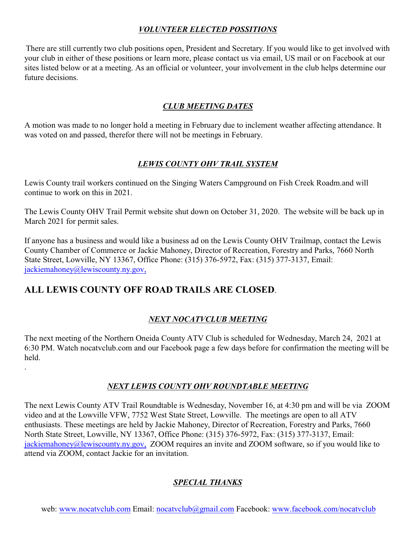## *VOLUNTEER ELECTED POSSITIONS*

There are still currently two club positions open, President and Secretary. If you would like to get involved with your club in either of these positions or learn more, please contact us via email, US mail or on Facebook at our sites listed below or at a meeting. As an official or volunteer, your involvement in the club helps determine our future decisions.

# *CLUB MEETING DATES*

A motion was made to no longer hold a meeting in February due to inclement weather affecting attendance. It was voted on and passed, therefor there will not be meetings in February.

## *LEWIS COUNTY OHV TRAIL SYSTEM*

Lewis County trail workers continued on the Singing Waters Campground on Fish Creek Roadm.and will continue to work on this in 2021.

The Lewis County OHV Trail Permit website shut down on October 31, 2020. The website will be back up in March 2021 for permit sales.

If anyone has a business and would like a business ad on the Lewis County OHV Trailmap, contact the Lewis County Chamber of Commerce or Jackie Mahoney, Director of Recreation, Forestry and Parks, 7660 North State Street, Lowville, NY 13367, Office Phone: (315) 376-5972, Fax: (315) 377-3137, Email: [jackiemahoney@lewiscounty.ny.gov,](mailto:jackiemahoney@lewiscounty.ny.gov,)

# **ALL LEWIS COUNTY OFF ROAD TRAILS ARE CLOSED**.

.

## *NEXT NOCATVCLUB MEETING*

The next meeting of the Northern Oneida County ATV Club is scheduled for Wednesday, March 24, 2021 at 6:30 PM. Watch nocatvclub.com and our Facebook page a few days before for confirmation the meeting will be held.

## *NEXT LEWIS COUNTY OHV ROUNDTABLE MEETING*

The next Lewis County ATV Trail Roundtable is Wednesday, November 16, at 4:30 pm and will be via ZOOM video and at the Lowville VFW, 7752 West State Street, Lowville. The meetings are open to all ATV enthusiasts. These meetings are held by Jackie Mahoney, Director of Recreation, Forestry and Parks, 7660 North State Street, Lowville, NY 13367, Office Phone: (315) 376-5972, Fax: (315) 377-3137, Email: [jackiemahoney@lewiscounty.ny.gov,](mailto:jackiemahoney@lewiscounty.ny.gov,) ZOOM requires an invite and ZOOM software, so if you would like to attend via ZOOM, contact Jackie for an invitation.

## *SPECIAL THANKS*

web: [www.nocatvclub.com](http://www.nocatvclub.com) Email: [nocatvclub@gmail.com](mailto:nocatvclub@gmail.com) Facebook: [www.facebook.com/nocatvclub](http://www.facebook.com/nocatvclub)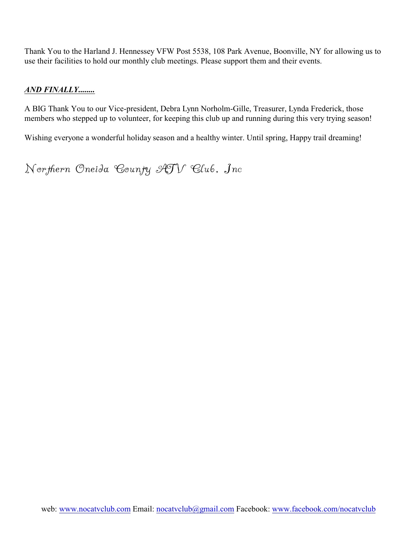Thank You to the Harland J. Hennessey VFW Post 5538, 108 Park Avenue, Boonville, NY for allowing us to use their facilities to hold our monthly club meetings. Please support them and their events.

#### *AND FINALLY........*

A BIG Thank You to our Vice-president, Debra Lynn Norholm-Gille, Treasurer, Lynda Frederick, those members who stepped up to volunteer, for keeping this club up and running during this very trying season!

Wishing everyone a wonderful holiday season and a healthy winter. Until spring, Happy trail dreaming!

Northern Oneida County ATV Club, Inc.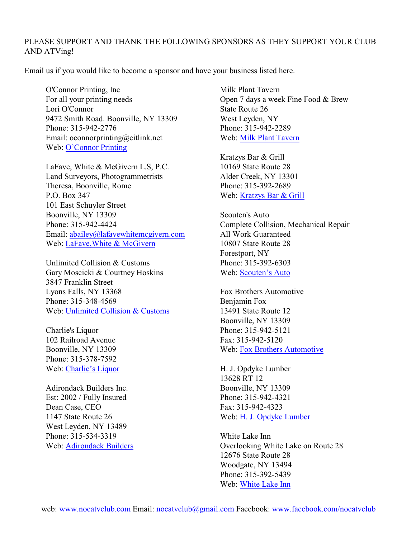#### PLEASE SUPPORT AND THANK THE FOLLOWING SPONSORS AS THEY SUPPORT YOUR CLUB AND ATVing!

Email us if you would like to become a sponsor and have your business listed here.

O'Connor Printing, Inc For all your printing needs Lori O'Connor 9472 Smith Road. Boonville, NY 13309 Phone: 315-942-2776 Email: oconnorprinting@citlink.net Web: [O'Connor Printing](http://www.oconnorprintinginc.com/)

LaFave, White & McGivern L.S, P.C. Land Surveyors, Photogrammetrists Theresa, Boonville, Rome P.O. Box 347 101 East Schuyler Street Boonville, NY 13309 Phone: 315-942-4424 Email: [abailey@lafavewhitemcgivern.com](mailto:abailey@lafavewhitemcgivern.com) Web: [LaFave,White & McGivern](https://lwmlspc.com/)

Unlimited Collision & Customs Gary Moscicki & Courtney Hoskins 3847 Franklin Street Lyons Falls, NY 13368 Phone: 315-348-4569 Web: [Unlimited Collision & Customs](https://www.facebook.com/Unlimited-Collision-Customs-128034920581230)

Charlie's Liquor 102 Railroad Avenue Boonville, NY 13309 Phone: 315-378-7592 Web: [Charlie's Liquor](https://www.facebook.com/Charlies-Liquor-977253299076227)

Adirondack Builders Inc. Est: 2002 / Fully Insured Dean Case, CEO 1147 State Route 26 West Leyden, NY 13489 Phone: 315-534-3319 Web: [Adirondack Builders](http://adirondackbuildersinc.com/) Milk Plant Tavern Open 7 days a week Fine Food & Brew State Route 26 West Leyden, NY Phone: 315-942-2289 Web: [Milk Plant Tavern](https://www.facebook.com/Milk-Plant-Tavern-181282058573865)

Kratzys Bar & Grill 10169 State Route 28 Alder Creek, NY 13301 Phone: 315-392-2689 Web: [Kratzys Bar & Grill](https://www.facebook.com/homeoftheelkburger)

Scouten's Auto Complete Collision, Mechanical Repair All Work Guaranteed 10807 State Route 28 Forestport, NY Phone: 315-392-6303 Web: [Scouten's Auto](https://www.facebook.com/Scoutens-Auto-2087590914846050/?rf=157344270972337)

Fox Brothers Automotive Benjamin Fox 13491 State Route 12 Boonville, NY 13309 Phone: 315-942-5121 Fax: 315-942-5120 Web: [Fox Brothers Automotive](http://foxbrosauto.com/)

H. J. Opdyke Lumber 13628 RT 12 Boonville, NY 13309 Phone: 315-942-4321 Fax: 315-942-4323 Web: [H. J. Opdyke Lumber](http://opdyke.com/Boonville)

White Lake Inn Overlooking White Lake on Route 28 12676 State Route 28 Woodgate, NY 13494 Phone: 315-392-5439 Web: [White Lake Inn](https://www.facebook.com/WhiteLakeInn)